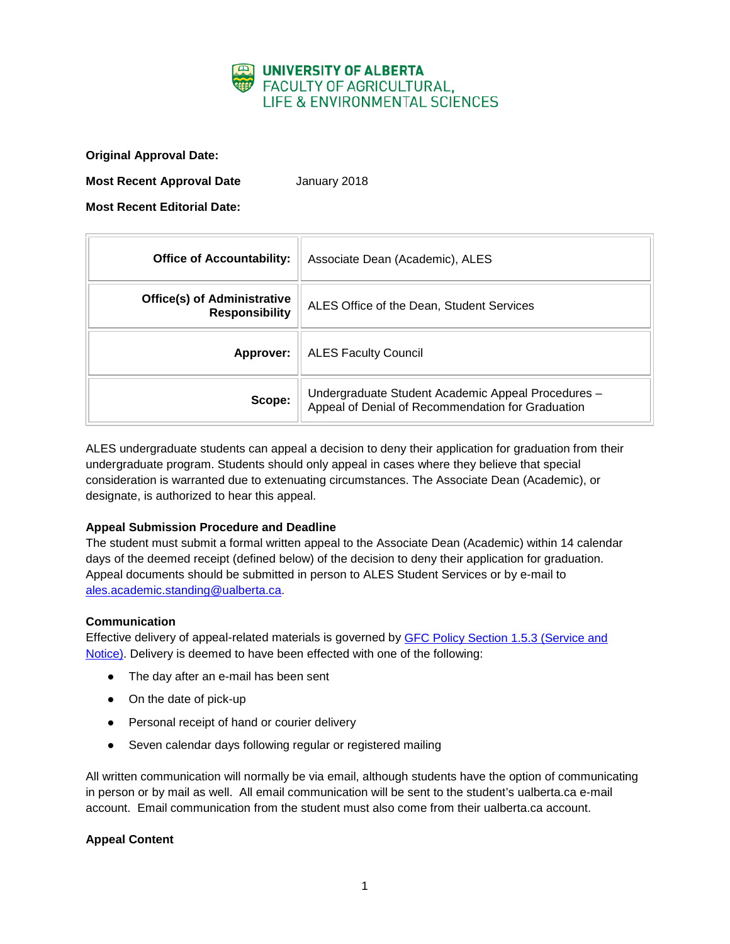

**Original Approval Date:**

**Most Recent Approval Date** January 2018

**Most Recent Editorial Date:**

| <b>Office of Accountability:</b>                            | Associate Dean (Academic), ALES                                                                         |
|-------------------------------------------------------------|---------------------------------------------------------------------------------------------------------|
| <b>Office(s) of Administrative</b><br><b>Responsibility</b> | ALES Office of the Dean, Student Services                                                               |
| Approver:                                                   | <b>ALES Faculty Council</b>                                                                             |
| Scope:                                                      | Undergraduate Student Academic Appeal Procedures -<br>Appeal of Denial of Recommendation for Graduation |

ALES undergraduate students can appeal a decision to deny their application for graduation from their undergraduate program. Students should only appeal in cases where they believe that special consideration is warranted due to extenuating circumstances. The Associate Dean (Academic), or designate, is authorized to hear this appeal.

# **Appeal Submission Procedure and Deadline**

The student must submit a formal written appeal to the Associate Dean (Academic) within 14 calendar days of the deemed receipt (defined below) of the decision to deny their application for graduation. Appeal documents should be submitted in person to ALES Student Services or by e-mail to [ales.academic.standing@ualberta.ca.](mailto:ales.academic.standing@ualberta.ca)

## **Communication**

Effective delivery of appeal-related materials is governed by [GFC Policy Section 1.5.3 \(Service and](http://www.governance.ualberta.ca/StudentAppeals/AcademicAppealsPolicy/15AppealProcedures/153ServiceandNotice.aspx)  [Notice\).](http://www.governance.ualberta.ca/StudentAppeals/AcademicAppealsPolicy/15AppealProcedures/153ServiceandNotice.aspx) Delivery is deemed to have been effected with one of the following:

- The day after an e-mail has been sent
- On the date of pick-up
- Personal receipt of hand or courier delivery
- Seven calendar days following regular or registered mailing

All written communication will normally be via email, although students have the option of communicating in person or by mail as well. All email communication will be sent to the student's ualberta.ca e-mail account. Email communication from the student must also come from their ualberta.ca account.

## **Appeal Content**